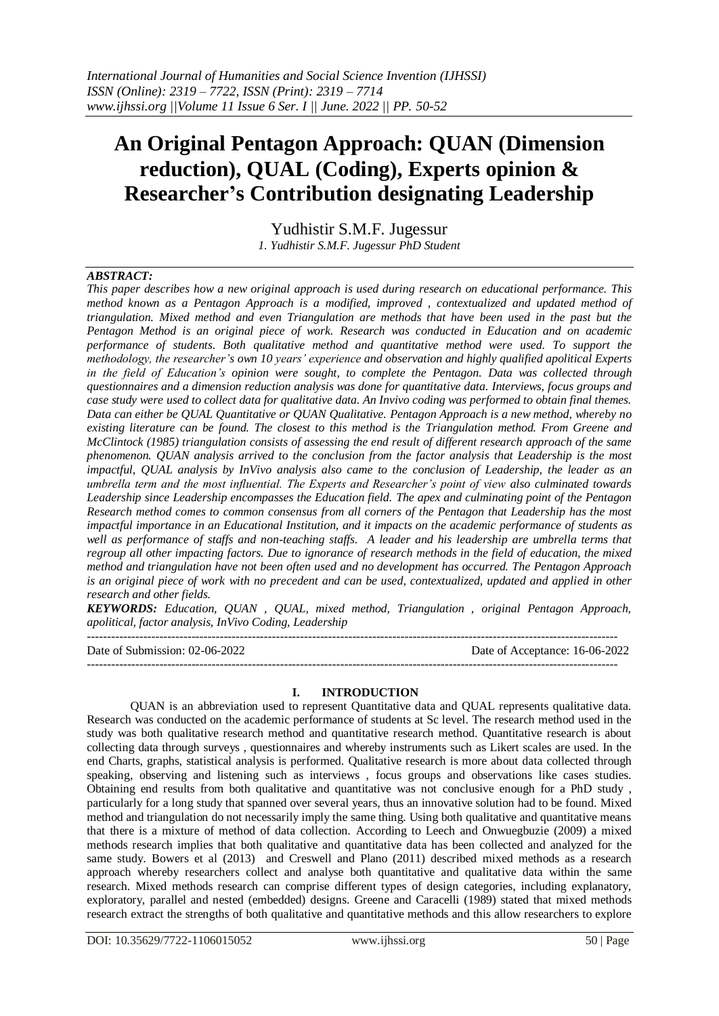# **An Original Pentagon Approach: QUAN (Dimension reduction), QUAL (Coding), Experts opinion & Researcher's Contribution designating Leadership**

Yudhistir S.M.F. Jugessur

*1. Yudhistir S.M.F. Jugessur PhD Student*

## *ABSTRACT:*

*This paper describes how a new original approach is used during research on educational performance. This method known as a Pentagon Approach is a modified, improved , contextualized and updated method of triangulation. Mixed method and even Triangulation are methods that have been used in the past but the Pentagon Method is an original piece of work. Research was conducted in Education and on academic performance of students. Both qualitative method and quantitative method were used. To support the methodology, the researcher's own 10 years' experience and observation and highly qualified apolitical Experts in the field of Education's opinion were sought, to complete the Pentagon. Data was collected through questionnaires and a dimension reduction analysis was done for quantitative data. Interviews, focus groups and case study were used to collect data for qualitative data. An Invivo coding was performed to obtain final themes. Data can either be QUAL Quantitative or QUAN Qualitative. Pentagon Approach is a new method, whereby no existing literature can be found. The closest to this method is the Triangulation method. From Greene and McClintock (1985) triangulation consists of assessing the end result of different research approach of the same phenomenon. QUAN analysis arrived to the conclusion from the factor analysis that Leadership is the most impactful, QUAL analysis by InVivo analysis also came to the conclusion of Leadership, the leader as an umbrella term and the most influential. The Experts and Researcher's point of view also culminated towards Leadership since Leadership encompasses the Education field. The apex and culminating point of the Pentagon Research method comes to common consensus from all corners of the Pentagon that Leadership has the most impactful importance in an Educational Institution, and it impacts on the academic performance of students as well as performance of staffs and non-teaching staffs. A leader and his leadership are umbrella terms that regroup all other impacting factors. Due to ignorance of research methods in the field of education, the mixed method and triangulation have not been often used and no development has occurred. The Pentagon Approach is an original piece of work with no precedent and can be used, contextualized, updated and applied in other research and other fields.*

*KEYWORDS: Education, QUAN , QUAL, mixed method, Triangulation , original Pentagon Approach, apolitical, factor analysis, InVivo Coding, Leadership*

------------------------------------------------------------------------------------------------------------------------------------

Date of Submission: 02-06-2022 Date of Acceptance: 16-06-2022 ------------------------------------------------------------------------------------------------------------------------------------

## **I. INTRODUCTION**

QUAN is an abbreviation used to represent Quantitative data and QUAL represents qualitative data. Research was conducted on the academic performance of students at Sc level. The research method used in the study was both qualitative research method and quantitative research method. Quantitative research is about collecting data through surveys , questionnaires and whereby instruments such as Likert scales are used. In the end Charts, graphs, statistical analysis is performed. Qualitative research is more about data collected through speaking, observing and listening such as interviews , focus groups and observations like cases studies. Obtaining end results from both qualitative and quantitative was not conclusive enough for a PhD study , particularly for a long study that spanned over several years, thus an innovative solution had to be found. Mixed method and triangulation do not necessarily imply the same thing. Using both qualitative and quantitative means that there is a mixture of method of data collection. According to Leech and Onwuegbuzie (2009) a mixed methods research implies that both qualitative and quantitative data has been collected and analyzed for the same study. Bowers et al (2013) and Creswell and Plano (2011) described mixed methods as a research approach whereby researchers collect and analyse both quantitative and qualitative data within the same research. Mixed methods research can comprise different types of design categories, including explanatory, exploratory, parallel and nested (embedded) designs. Greene and Caracelli (1989) stated that mixed methods research extract the strengths of both qualitative and quantitative methods and this allow researchers to explore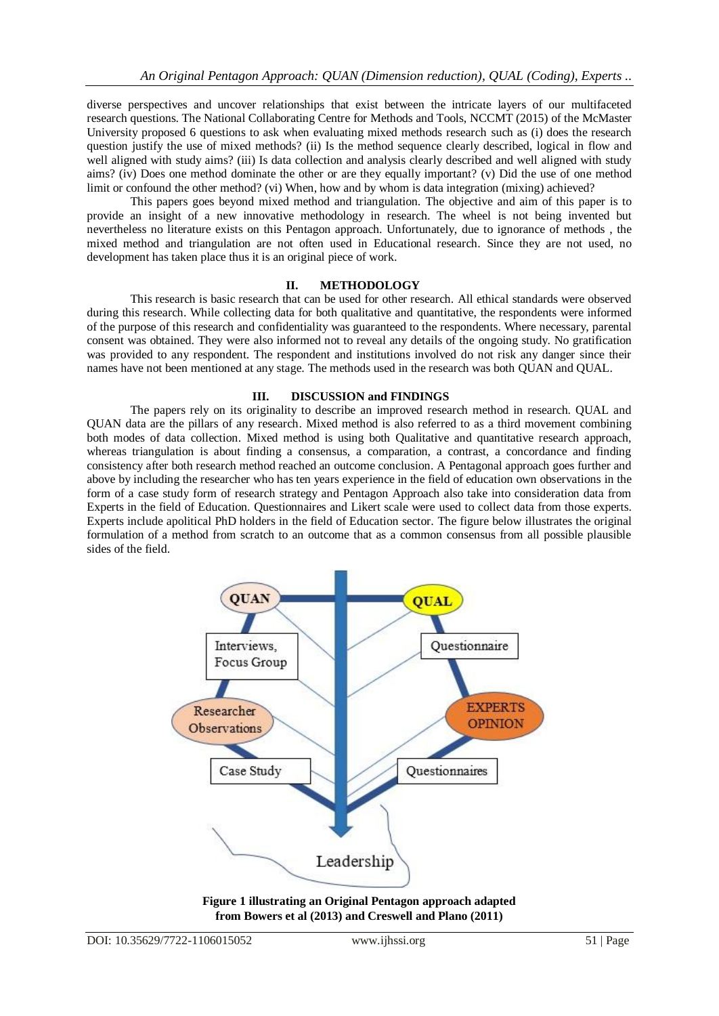diverse perspectives and uncover relationships that exist between the intricate layers of our multifaceted research questions. The National Collaborating Centre for Methods and Tools, NCCMT (2015) of the McMaster University proposed 6 questions to ask when evaluating mixed methods research such as (i) does the research question justify the use of mixed methods? (ii) Is the method sequence clearly described, logical in flow and well aligned with study aims? (iii) Is data collection and analysis clearly described and well aligned with study aims? (iv) Does one method dominate the other or are they equally important? (v) Did the use of one method limit or confound the other method? (vi) When, how and by whom is data integration (mixing) achieved?

This papers goes beyond mixed method and triangulation. The objective and aim of this paper is to provide an insight of a new innovative methodology in research. The wheel is not being invented but nevertheless no literature exists on this Pentagon approach. Unfortunately, due to ignorance of methods , the mixed method and triangulation are not often used in Educational research. Since they are not used, no development has taken place thus it is an original piece of work.

### **II. METHODOLOGY**

This research is basic research that can be used for other research. All ethical standards were observed during this research. While collecting data for both qualitative and quantitative, the respondents were informed of the purpose of this research and confidentiality was guaranteed to the respondents. Where necessary, parental consent was obtained. They were also informed not to reveal any details of the ongoing study. No gratification was provided to any respondent. The respondent and institutions involved do not risk any danger since their names have not been mentioned at any stage. The methods used in the research was both QUAN and QUAL.

## **III. DISCUSSION and FINDINGS**

The papers rely on its originality to describe an improved research method in research. QUAL and QUAN data are the pillars of any research. Mixed method is also referred to as a third movement combining both modes of data collection. Mixed method is using both Qualitative and quantitative research approach, whereas triangulation is about finding a consensus, a comparation, a contrast, a concordance and finding consistency after both research method reached an outcome conclusion. A Pentagonal approach goes further and above by including the researcher who has ten years experience in the field of education own observations in the form of a case study form of research strategy and Pentagon Approach also take into consideration data from Experts in the field of Education. Questionnaires and Likert scale were used to collect data from those experts. Experts include apolitical PhD holders in the field of Education sector. The figure below illustrates the original formulation of a method from scratch to an outcome that as a common consensus from all possible plausible sides of the field.



**Figure 1 illustrating an Original Pentagon approach adapted from Bowers et al (2013) and Creswell and Plano (2011)**